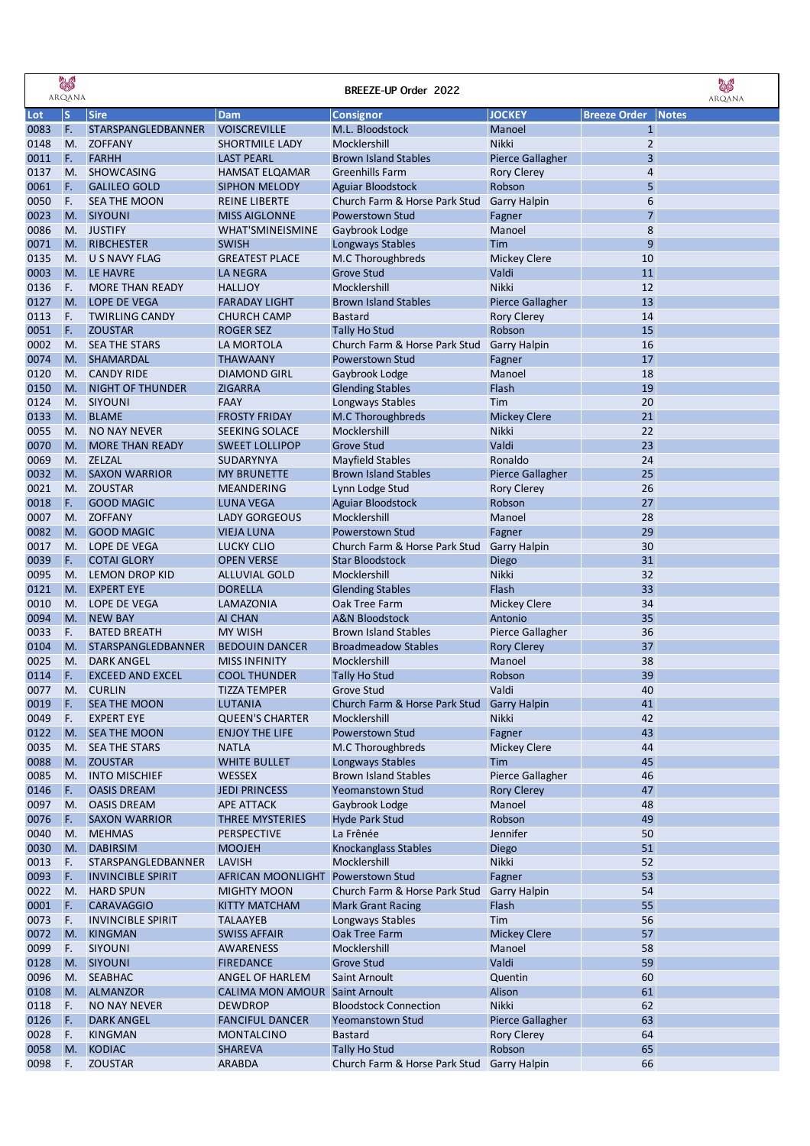|              | <b>SAR</b><br>ARQANA |                                              |                                       | BREEZE-UP Order 2022                                    |                               |                     | <b>AS</b><br>ARQANA |
|--------------|----------------------|----------------------------------------------|---------------------------------------|---------------------------------------------------------|-------------------------------|---------------------|---------------------|
| Lot          | ${\sf S}$            | <b>Sire</b>                                  | Dam                                   | <b>Consignor</b>                                        | <b>JOCKEY</b>                 | <b>Breeze Order</b> | <b>Notes</b>        |
| 0083         | F.                   | STARSPANGLEDBANNER                           | <b>VOISCREVILLE</b>                   | M.L. Bloodstock                                         | Manoel                        | $\mathbf{1}$        |                     |
| 0148         | M.                   | <b>ZOFFANY</b>                               | <b>SHORTMILE LADY</b>                 | Mocklershill                                            | <b>Nikki</b>                  | $\overline{2}$      |                     |
| 0011         | F.                   | <b>FARHH</b>                                 | <b>LAST PEARL</b>                     | <b>Brown Island Stables</b>                             | <b>Pierce Gallagher</b>       | 3                   |                     |
| 0137         | M.                   | <b>SHOWCASING</b>                            | <b>HAMSAT ELQAMAR</b>                 | <b>Greenhills Farm</b>                                  | <b>Rory Clerey</b>            | 4                   |                     |
| 0061         | F.                   | <b>GALILEO GOLD</b>                          | <b>SIPHON MELODY</b>                  | Aguiar Bloodstock                                       | Robson                        | 5                   |                     |
| 0050         | F.                   | <b>SEA THE MOON</b>                          | <b>REINE LIBERTE</b>                  | Church Farm & Horse Park Stud                           | <b>Garry Halpin</b>           | 6                   |                     |
| 0023         | M.                   | <b>SIYOUNI</b>                               | <b>MISS AIGLONNE</b>                  | <b>Powerstown Stud</b>                                  | Fagner                        | $\overline{7}$      |                     |
| 0086         | M.                   | <b>JUSTIFY</b>                               | <b>WHAT'SMINEISMINE</b>               | Gaybrook Lodge                                          | Manoel                        | 8                   |                     |
| 0071         | M.                   | <b>RIBCHESTER</b>                            | <b>SWISH</b>                          | Longways Stables                                        | Tim                           | 9                   |                     |
| 0135         | M.                   | U S NAVY FLAG                                | <b>GREATEST PLACE</b>                 | M.C Thoroughbreds                                       | <b>Mickey Clere</b>           | 10                  |                     |
| 0003         | M.                   | LE HAVRE                                     | <b>LA NEGRA</b>                       | <b>Grove Stud</b>                                       | Valdi                         | 11                  |                     |
| 0136         | F.                   | <b>MORE THAN READY</b>                       | <b>HALLJOY</b>                        | Mocklershill                                            | Nikki                         | 12                  |                     |
| 0127         | M.                   | LOPE DE VEGA                                 | <b>FARADAY LIGHT</b>                  | <b>Brown Island Stables</b>                             | Pierce Gallagher              | 13                  |                     |
| 0113         | F.                   | <b>TWIRLING CANDY</b>                        | <b>CHURCH CAMP</b>                    | <b>Bastard</b>                                          | <b>Rory Clerey</b>            | 14                  |                     |
| 0051         | F.                   | <b>ZOUSTAR</b>                               | <b>ROGER SEZ</b>                      | <b>Tally Ho Stud</b>                                    | Robson                        | 15                  |                     |
| 0002<br>0074 | M.<br>M.             | <b>SEA THE STARS</b><br><b>SHAMARDAL</b>     | LA MORTOLA<br><b>THAWAANY</b>         | Church Farm & Horse Park Stud<br>Powerstown Stud        | <b>Garry Halpin</b>           | 16<br>17            |                     |
| 0120         | M.                   | <b>CANDY RIDE</b>                            | <b>DIAMOND GIRL</b>                   | Gaybrook Lodge                                          | Fagner<br>Manoel              | 18                  |                     |
| 0150         | M.                   | NIGHT OF THUNDER                             | <b>ZIGARRA</b>                        | <b>Glending Stables</b>                                 | Flash                         | 19                  |                     |
| 0124         | M.                   | SIYOUNI                                      | <b>FAAY</b>                           | Longways Stables                                        | Tim                           | 20                  |                     |
| 0133         | M.                   | <b>BLAME</b>                                 | <b>FROSTY FRIDAY</b>                  | M.C Thoroughbreds                                       | <b>Mickey Clere</b>           | 21                  |                     |
| 0055         | M.                   | <b>NO NAY NEVER</b>                          | <b>SEEKING SOLACE</b>                 | Mocklershill                                            | Nikki                         | 22                  |                     |
| 0070         | M.                   | <b>MORE THAN READY</b>                       | <b>SWEET LOLLIPOP</b>                 | <b>Grove Stud</b>                                       | Valdi                         | 23                  |                     |
| 0069         | M.                   | ZELZAL                                       | SUDARYNYA                             | Mayfield Stables                                        | Ronaldo                       | 24                  |                     |
| 0032         | M.                   | <b>SAXON WARRIOR</b>                         | <b>MY BRUNETTE</b>                    | <b>Brown Island Stables</b>                             | <b>Pierce Gallagher</b>       | 25                  |                     |
| 0021         | M.                   | <b>ZOUSTAR</b>                               | MEANDERING                            | Lynn Lodge Stud                                         | <b>Rory Clerey</b>            | 26                  |                     |
| 0018         | F.                   | <b>GOOD MAGIC</b>                            | <b>LUNA VEGA</b>                      | Aguiar Bloodstock                                       | Robson                        | 27                  |                     |
| 0007         | M.                   | <b>ZOFFANY</b>                               | <b>LADY GORGEOUS</b>                  | Mocklershill                                            | Manoel                        | 28                  |                     |
| 0082         | M.                   | <b>GOOD MAGIC</b>                            | <b>VIEJA LUNA</b>                     | <b>Powerstown Stud</b>                                  | Fagner                        | 29                  |                     |
| 0017         | M.                   | LOPE DE VEGA                                 | <b>LUCKY CLIO</b>                     | Church Farm & Horse Park Stud                           | <b>Garry Halpin</b>           | 30                  |                     |
| 0039         | F.                   | <b>COTAI GLORY</b>                           | <b>OPEN VERSE</b>                     | <b>Star Bloodstock</b>                                  | Diego                         | 31                  |                     |
| 0095         | M.                   | LEMON DROP KID                               | <b>ALLUVIAL GOLD</b>                  | Mocklershill                                            | Nikki                         | 32                  |                     |
| 0121         | M.                   | <b>EXPERT EYE</b>                            | <b>DORELLA</b>                        | <b>Glending Stables</b>                                 | Flash                         | 33                  |                     |
| 0010         | M.                   | LOPE DE VEGA                                 | LAMAZONIA                             | Oak Tree Farm                                           | <b>Mickey Clere</b>           | 34                  |                     |
| 0094         | M.                   | <b>NEW BAY</b>                               | <b>AI CHAN</b>                        | <b>A&amp;N Bloodstock</b>                               | Antonio                       | 35                  |                     |
| 0033         | F.                   | <b>BATED BREATH</b>                          | <b>MY WISH</b>                        | <b>Brown Island Stables</b>                             | <b>Pierce Gallagher</b>       | 36                  |                     |
| 0104         | M.                   | STARSPANGLEDBANNER                           | <b>BEDOUIN DANCER</b>                 | <b>Broadmeadow Stables</b>                              | <b>Rory Clerey</b>            | 37                  |                     |
| 0025         | M.                   | <b>DARK ANGEL</b>                            | <b>MISS INFINITY</b>                  | Mocklershill                                            | Manoel                        | 38                  |                     |
| 0114         | F.                   | <b>EXCEED AND EXCEL</b>                      | <b>COOL THUNDER</b>                   | <b>Tally Ho Stud</b>                                    | Robson                        | 39                  |                     |
| 0077         | M.                   | <b>CURLIN</b>                                | <b>TIZZA TEMPER</b>                   | Grove Stud                                              | Valdi                         | 40                  |                     |
| 0019         | F.                   | <b>SEA THE MOON</b>                          | LUTANIA                               | Church Farm & Horse Park Stud                           | <b>Garry Halpin</b>           | 41                  |                     |
| 0049         | F.                   | <b>EXPERT EYE</b>                            | <b>QUEEN'S CHARTER</b>                | Mocklershill                                            | Nikki                         | 42                  |                     |
| 0122         | M.                   | <b>SEA THE MOON</b>                          | <b>ENJOY THE LIFE</b>                 | Powerstown Stud                                         | Fagner                        | 43                  |                     |
| 0035         | M.                   | <b>SEA THE STARS</b>                         | <b>NATLA</b>                          | M.C Thoroughbreds                                       | <b>Mickey Clere</b>           | 44                  |                     |
| 0088         | M.                   | <b>ZOUSTAR</b>                               | <b>WHITE BULLET</b>                   | Longways Stables                                        | Tim                           | 45                  |                     |
| 0085         | M.                   | <b>INTO MISCHIEF</b>                         | WESSEX                                | <b>Brown Island Stables</b>                             | Pierce Gallagher              | 46                  |                     |
| 0146         | F.                   | <b>OASIS DREAM</b>                           | <b>JEDI PRINCESS</b>                  | Yeomanstown Stud                                        | <b>Rory Clerey</b>            | 47                  |                     |
| 0097         | M.                   | <b>OASIS DREAM</b>                           | <b>APE ATTACK</b>                     | Gaybrook Lodge                                          | Manoel                        | 48                  |                     |
| 0076         | F.                   | <b>SAXON WARRIOR</b>                         | THREE MYSTERIES                       | <b>Hyde Park Stud</b>                                   | Robson                        | 49                  |                     |
| 0040         | M.                   | <b>MEHMAS</b>                                | PERSPECTIVE                           | La Frênée                                               | Jennifer                      | 50                  |                     |
| 0030         | M.                   | <b>DABIRSIM</b>                              | <b>MOOJEH</b>                         | Knockanglass Stables                                    | Diego                         | 51                  |                     |
| 0013         | F.                   | STARSPANGLEDBANNER                           | <b>LAVISH</b>                         | Mocklershill                                            | Nikki                         | 52                  |                     |
| 0093<br>0022 | F.                   | <b>INVINCIBLE SPIRIT</b><br><b>HARD SPUN</b> | AFRICAN MOONLIGHT                     | <b>Powerstown Stud</b><br>Church Farm & Horse Park Stud | Fagner<br><b>Garry Halpin</b> | 53<br>54            |                     |
| 0001         | M.<br>F.             | <b>CARAVAGGIO</b>                            | <b>MIGHTY MOON</b><br>KITTY MATCHAM   | <b>Mark Grant Racing</b>                                | Flash                         | 55                  |                     |
| 0073         | F.                   |                                              | <b>TALAAYEB</b>                       |                                                         | Tim                           | 56                  |                     |
| 0072         | M.                   | <b>INVINCIBLE SPIRIT</b><br><b>KINGMAN</b>   | <b>SWISS AFFAIR</b>                   | Longways Stables<br><b>Oak Tree Farm</b>                | <b>Mickey Clere</b>           | 57                  |                     |
| 0099         | F.                   | <b>SIYOUNI</b>                               | AWARENESS                             | Mocklershill                                            | Manoel                        | 58                  |                     |
| 0128         | M.                   | SIYOUNI                                      | <b>FIREDANCE</b>                      | <b>Grove Stud</b>                                       | Valdi                         | 59                  |                     |
| 0096         | M.                   | <b>SEABHAC</b>                               | ANGEL OF HARLEM                       | Saint Arnoult                                           | Quentin                       | 60                  |                     |
| 0108         | M.                   | <b>ALMANZOR</b>                              | <b>CALIMA MON AMOUR Saint Arnoult</b> |                                                         | Alison                        | 61                  |                     |
| 0118         | F.                   | <b>NO NAY NEVER</b>                          | <b>DEWDROP</b>                        | <b>Bloodstock Connection</b>                            | Nikki                         | 62                  |                     |
| 0126         | F.                   | <b>DARK ANGEL</b>                            | <b>FANCIFUL DANCER</b>                | Yeomanstown Stud                                        | Pierce Gallagher              | 63                  |                     |
| 0028         | F.                   | <b>KINGMAN</b>                               | MONTALCINO                            | <b>Bastard</b>                                          | <b>Rory Clerey</b>            | 64                  |                     |
| 0058         | M.                   | <b>KODIAC</b>                                | <b>SHAREVA</b>                        | <b>Tally Ho Stud</b>                                    | Robson                        | 65                  |                     |
| 0098         | F.                   | <b>ZOUSTAR</b>                               | ARABDA                                | Church Farm & Horse Park Stud Garry Halpin              |                               | 66                  |                     |
|              |                      |                                              |                                       |                                                         |                               |                     |                     |